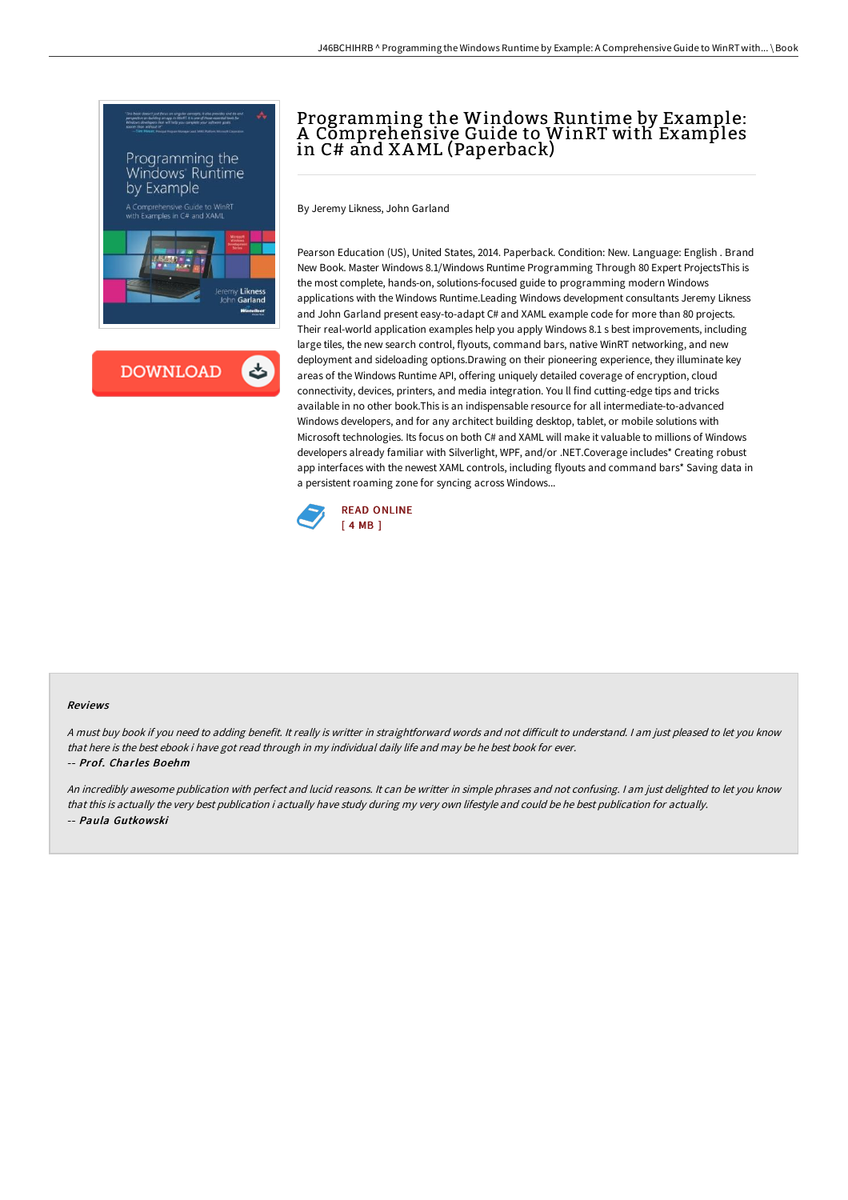



# Programming the Windows Runtime by Example: A Comprehensive Guide to WinRT with Examples in C# and XAML (Paperback)

By Jeremy Likness, John Garland

Pearson Education (US), United States, 2014. Paperback. Condition: New. Language: English . Brand New Book. Master Windows 8.1/Windows Runtime Programming Through 80 Expert ProjectsThis is the most complete, hands-on, solutions-focused guide to programming modern Windows applications with the Windows Runtime.Leading Windows development consultants Jeremy Likness and John Garland present easy-to-adapt C# and XAML example code for more than 80 projects. Their real-world application examples help you apply Windows 8.1 s best improvements, including large tiles, the new search control, flyouts, command bars, native WinRT networking, and new deployment and sideloading options.Drawing on their pioneering experience, they illuminate key areas of the Windows Runtime API, offering uniquely detailed coverage of encryption, cloud connectivity, devices, printers, and media integration. You ll find cutting-edge tips and tricks available in no other book.This is an indispensable resource for all intermediate-to-advanced Windows developers, and for any architect building desktop, tablet, or mobile solutions with Microsoft technologies. Its focus on both C# and XAML will make it valuable to millions of Windows developers already familiar with Silverlight, WPF, and/or .NET.Coverage includes\* Creating robust app interfaces with the newest XAML controls, including flyouts and command bars\* Saving data in a persistent roaming zone for syncing across Windows...



#### Reviews

A must buy book if you need to adding benefit. It really is writter in straightforward words and not difficult to understand. I am just pleased to let you know that here is the best ebook i have got read through in my individual daily life and may be he best book for ever.

#### -- Prof. Charles Boehm

An incredibly awesome publication with perfect and lucid reasons. It can be writter in simple phrases and not confusing. <sup>I</sup> am just delighted to let you know that this is actually the very best publication i actually have study during my very own lifestyle and could be he best publication for actually. -- Paula Gutkowski